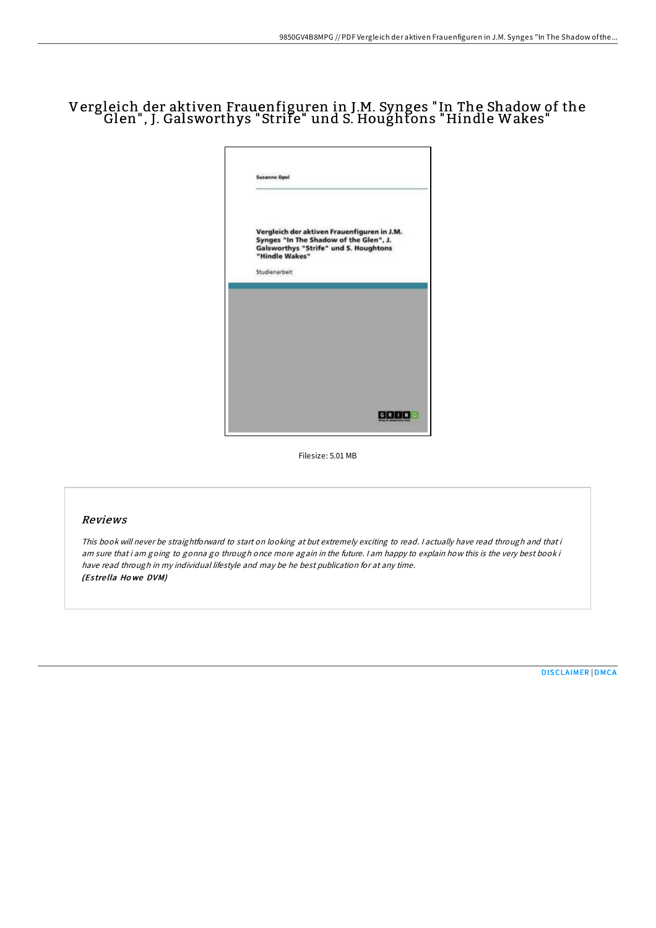# Vergleich der aktiven Frauenfiguren in J.M. Synges "In The Shadow of the Glen", J. Galsworthys "Strife" und S. Houghtons "Hindle Wakes"



Filesize: 5.01 MB

#### Reviews

This book will never be straightforward to start on looking at but extremely exciting to read. <sup>I</sup> actually have read through and that i am sure that i am going to gonna go through once more again in the future. <sup>I</sup> am happy to explain how this is the very best book i have read through in my individual lifestyle and may be he best publication for at any time. (Es tre lla Ho we DVM)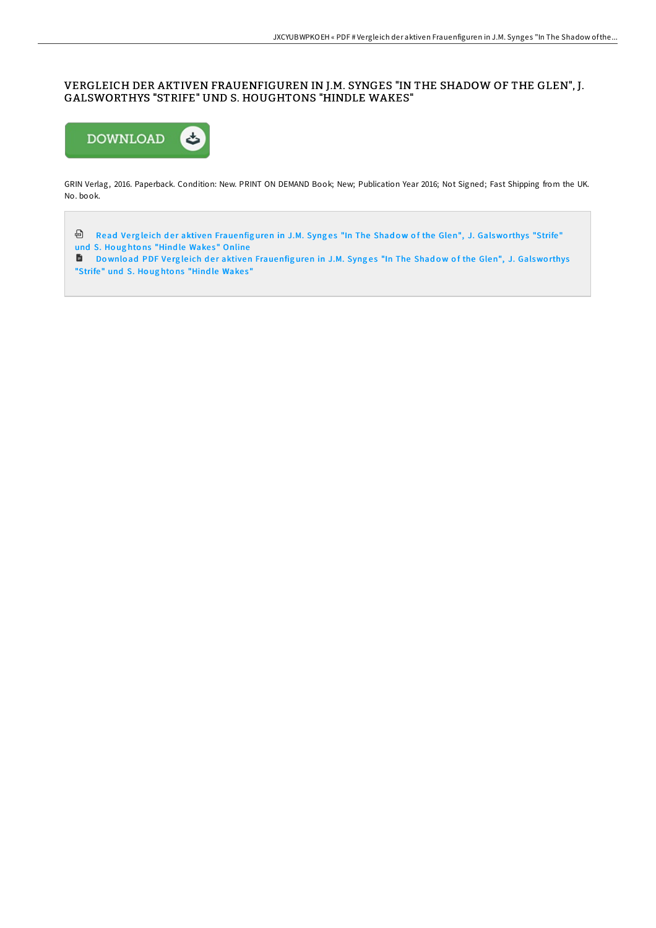## VERGLEICH DER AKTIVEN FRAUENFIGUREN IN J.M. SYNGES "IN THE SHADOW OF THE GLEN", J. GALSWORTHYS "STRIFE" UND S. HOUGHTONS "HINDLE WAKES"



GRIN Verlag, 2016. Paperback. Condition: New. PRINT ON DEMAND Book; New; Publication Year 2016; Not Signed; Fast Shipping from the UK. No. book.

<sup>a</sup> Read Vergleich der aktiven [Frauenfig](http://almighty24.tech/vergleich-der-aktiven-frauenfiguren-in-j-m-synge.html)uren in J.M. Synges "In The Shadow of the Glen", J. Galsworthys "Strife" und S. Houghtons "Hindle Wakes" Online

Download PDF Vergleich der aktiven [Frauenfig](http://almighty24.tech/vergleich-der-aktiven-frauenfiguren-in-j-m-synge.html)uren in J.M. Synges "In The Shadow of the Glen", J. Galsworthys "Strife" und S. Houghtons "Hindle Wakes"